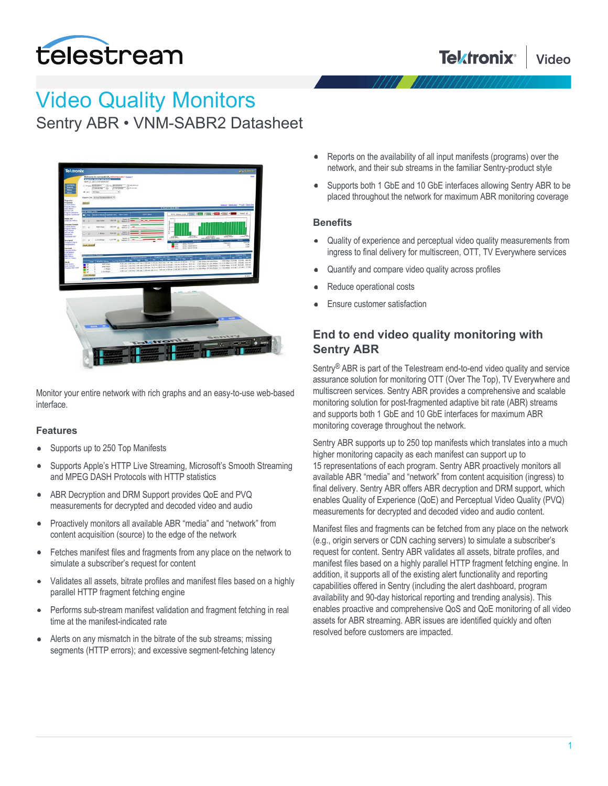

# Video Quality Monitors

Sentry ABR • VNM-SABR2 Datasheet



Monitor your entire network with rich graphs and an easy-to-use web-based interface.

#### **Features**

- Supports up to 250 Top Manifests
- Supports Apple's HTTP Live Streaming, Microsoft's Smooth Streaming  $\bullet$ and MPEG DASH Protocols with HTTP statistics
- $\bullet$ ABR Decryption and DRM Support provides QoE and PVQ measurements for decrypted and decoded video and audio
- Proactively monitors all available ABR "media" and "network" from  $\bullet$ content acquisition (source) to the edge of the network
- Fetches manifest files and fragments from any place on the network to  $\bullet$ simulate a subscriber's request for content
- Validates all assets, bitrate profiles and manifest files based on a highly  $\bullet$ parallel HTTP fragment fetching engine
- $\bullet$ Performs sub-stream manifest validation and fragment fetching in real time at the manifest-indicated rate
- Alerts on any mismatch in the bitrate of the sub streams; missing  $\bullet$ segments (HTTP errors); and excessive segment-fetching latency
- Reports on the availability of all input manifests (programs) over the network, and their sub streams in the familiar Sentry-product style
- Supports both 1 GbE and 10 GbE interfaces allowing Sentry ABR to be placed throughout the network for maximum ABR monitoring coverage

#### **Benefits**

- Quality of experience and perceptual video quality measurements from ingress to final delivery for multiscreen, OTT, TV Everywhere services
- Quantify and compare video quality across profiles
- Reduce operational costs
- Ensure customer satisfaction

# **End to end video quality monitoring with Sentry ABR**

Sentry® ABR is part of the Telestream end-to-end video quality and service assurance solution for monitoring OTT (Over The Top), TV Everywhere and multiscreen services. Sentry ABR provides a comprehensive and scalable monitoring solution for post-fragmented adaptive bit rate (ABR) streams and supports both 1 GbE and 10 GbE interfaces for maximum ABR monitoring coverage throughout the network.

Sentry ABR supports up to 250 top manifests which translates into a much higher monitoring capacity as each manifest can support up to 15 representations of each program. Sentry ABR proactively monitors all available ABR "media" and "network" from content acquisition (ingress) to final delivery. Sentry ABR offers ABR decryption and DRM support, which enables Quality of Experience (QoE) and Perceptual Video Quality (PVQ) measurements for decrypted and decoded video and audio content.

Manifest files and fragments can be fetched from any place on the network (e.g., origin servers or CDN caching servers) to simulate a subscriber's request for content. Sentry ABR validates all assets, bitrate profiles, and manifest files based on a highly parallel HTTP fragment fetching engine. In addition, it supports all of the existing alert functionality and reporting capabilities offered in Sentry (including the alert dashboard, program availability and 90-day historical reporting and trending analysis). This enables proactive and comprehensive QoS and QoE monitoring of all video assets for ABR streaming. ABR issues are identified quickly and often resolved before customers are impacted.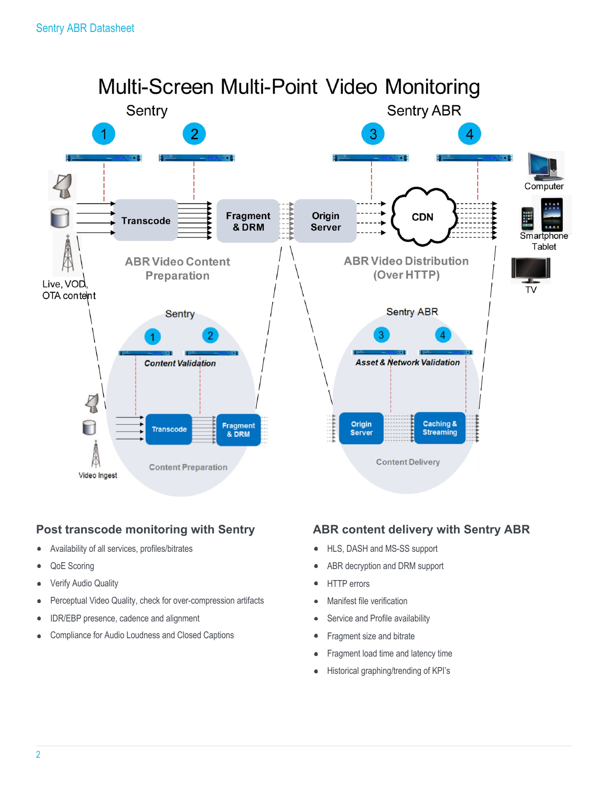

## **Post transcode monitoring with Sentry**

- Availability of all services, profiles/bitrates
- QoE Scoring
- Verify Audio Quality  $\blacksquare$
- Perceptual Video Quality, check for over-compression artifacts
- IDR/EBP presence, cadence and alignment
- Compliance for Audio Loudness and Closed Captions  $\bullet$

## **ABR content delivery with Sentry ABR**

- HLS, DASH and MS-SS support  $\bullet$
- ABR decryption and DRM support
- HTTP errors  $\bullet$
- Manifest file verification  $\bullet$
- Service and Profile availability
- Fragment size and bitrate  $\bullet$
- Fragment load time and latency time  $\bullet$
- Historical graphing/trending of KPI's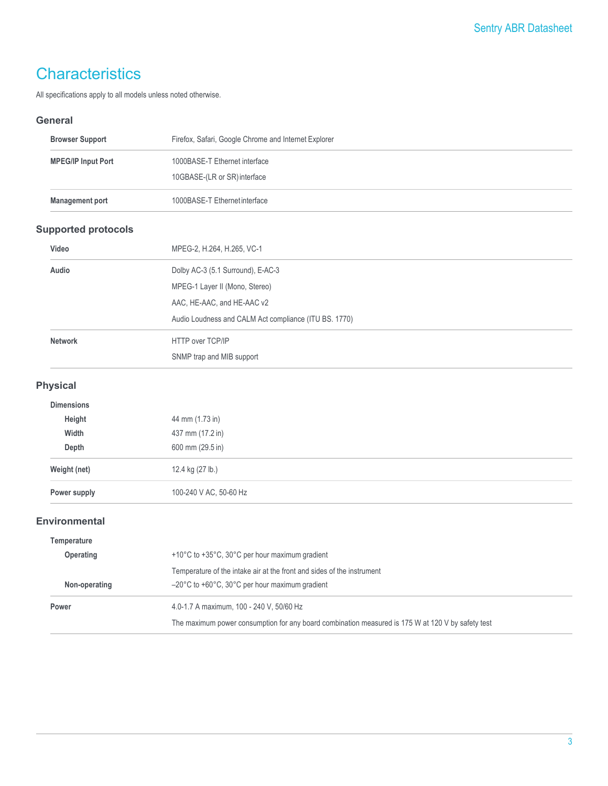# **Characteristics**

All specifications apply to all models unless noted otherwise.

#### **General**

| <b>Browser Support</b>     | Firefox, Safari, Google Chrome and Internet Explorer                                              |
|----------------------------|---------------------------------------------------------------------------------------------------|
| <b>MPEG/IP Input Port</b>  | 1000BASE-T Ethernet interface                                                                     |
|                            | 10GBASE-(LR or SR) interface                                                                      |
| <b>Management port</b>     | 1000BASE-T Ethernet interface                                                                     |
| <b>Supported protocols</b> |                                                                                                   |
| Video                      | MPEG-2, H.264, H.265, VC-1                                                                        |
| Audio                      | Dolby AC-3 (5.1 Surround), E-AC-3                                                                 |
|                            | MPEG-1 Layer II (Mono, Stereo)                                                                    |
|                            | AAC, HE-AAC, and HE-AAC v2                                                                        |
|                            | Audio Loudness and CALM Act compliance (ITU BS. 1770)                                             |
| <b>Network</b>             | HTTP over TCP/IP                                                                                  |
|                            | SNMP trap and MIB support                                                                         |
| <b>Physical</b>            |                                                                                                   |
| <b>Dimensions</b>          |                                                                                                   |
| Height                     | 44 mm (1.73 in)                                                                                   |
| Width                      | 437 mm (17.2 in)                                                                                  |
| Depth                      | 600 mm (29.5 in)                                                                                  |
| Weight (net)               | 12.4 kg (27 lb.)                                                                                  |
| Power supply               | 100-240 V AC, 50-60 Hz                                                                            |
| <b>Environmental</b>       |                                                                                                   |
| Temperature                |                                                                                                   |
| Operating                  | +10°C to +35°C, 30°C per hour maximum gradient                                                    |
|                            | Temperature of the intake air at the front and sides of the instrument                            |
| Non-operating              | -20°C to +60°C, 30°C per hour maximum gradient                                                    |
| Power                      | 4.0-1.7 A maximum, 100 - 240 V, 50/60 Hz                                                          |
|                            | The maximum power consumption for any board combination measured is 175 W at 120 V by safety test |